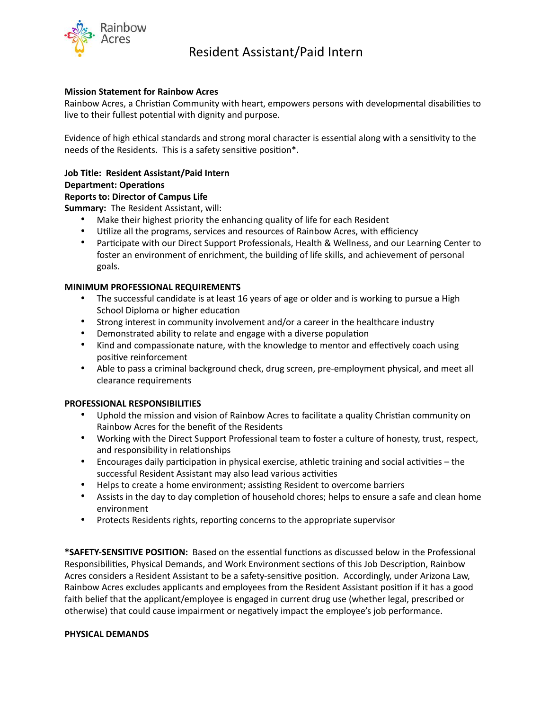

# Resident Assistant/Paid Intern

# **Mission Statement for Rainbow Acres**

Rainbow Acres, a Christian Community with heart, empowers persons with developmental disabilities to live to their fullest potential with dignity and purpose.

Evidence of high ethical standards and strong moral character is essential along with a sensitivity to the needs of the Residents. This is a safety sensitive position\*.

## **Job Title: Resident Assistant/Paid Intern**

### **Department: Operations**

### **Reports to: Director of Campus Life**

**Summary:** The Resident Assistant, will:

- Make their highest priority the enhancing quality of life for each Resident
- Utilize all the programs, services and resources of Rainbow Acres, with efficiency
- Participate with our Direct Support Professionals, Health & Wellness, and our Learning Center to foster an environment of enrichment, the building of life skills, and achievement of personal goals.

### **MINIMUM PROFESSIONAL REQUIREMENTS**

- The successful candidate is at least 16 years of age or older and is working to pursue a High School Diploma or higher education
- Strong interest in community involvement and/or a career in the healthcare industry
- Demonstrated ability to relate and engage with a diverse population
- Kind and compassionate nature, with the knowledge to mentor and effectively coach using positive reinforcement
- Able to pass a criminal background check, drug screen, pre-employment physical, and meet all clearance requirements

### **PROFESSIONAL RESPONSIBILITIES**

- Uphold the mission and vision of Rainbow Acres to facilitate a quality Christian community on Rainbow Acres for the benefit of the Residents
- Working with the Direct Support Professional team to foster a culture of honesty, trust, respect, and responsibility in relationships
- Encourages daily participation in physical exercise, athletic training and social activities the successful Resident Assistant may also lead various activities
- Helps to create a home environment; assisting Resident to overcome barriers
- Assists in the day to day completion of household chores; helps to ensure a safe and clean home environment
- Protects Residents rights, reporting concerns to the appropriate supervisor

**\*SAFETY-SENSITIVE POSITION:** Based on the essential functions as discussed below in the Professional Responsibilities, Physical Demands, and Work Environment sections of this Job Description, Rainbow Acres considers a Resident Assistant to be a safety-sensitive position. Accordingly, under Arizona Law, Rainbow Acres excludes applicants and employees from the Resident Assistant position if it has a good faith belief that the applicant/employee is engaged in current drug use (whether legal, prescribed or otherwise) that could cause impairment or negatively impact the employee's job performance.

#### **PHYSICAL DEMANDS**